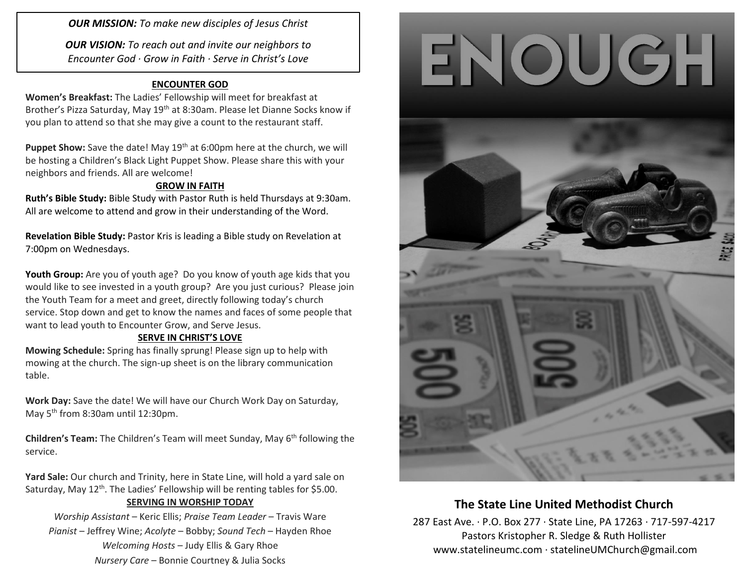*OUR MISSION: To make new disciples of Jesus Christ*

*OUR VISION: To reach out and invite our neighbors to Encounter God · Grow in Faith · Serve in Christ's Love*

### **ENCOUNTER GOD**

**Women's Breakfast:** The Ladies' Fellowship will meet for breakfast at Brother's Pizza Saturday, May 19<sup>th</sup> at 8:30am. Please let Dianne Socks know if you plan to attend so that she may give a count to the restaurant staff.

**Puppet Show:** Save the date! May 19<sup>th</sup> at 6:00pm here at the church, we will be hosting a Children's Black Light Puppet Show. Please share this with your neighbors and friends. All are welcome!

### **GROW IN FAITH**

**Ruth's Bible Study:** Bible Study with Pastor Ruth is held Thursdays at 9:30am. All are welcome to attend and grow in their understanding of the Word.

**Revelation Bible Study:** Pastor Kris is leading a Bible study on Revelation at 7:00pm on Wednesdays.

**Youth Group:** Are you of youth age? Do you know of youth age kids that you would like to see invested in a youth group? Are you just curious? Please join the Youth Team for a meet and greet, directly following today's church service. Stop down and get to know the names and faces of some people that want to lead youth to Encounter Grow, and Serve Jesus.

### **SERVE IN CHRIST'S LOVE**

**Mowing Schedule:** Spring has finally sprung! Please sign up to help with mowing at the church. The sign-up sheet is on the library communication table.

**Work Day:** Save the date! We will have our Church Work Day on Saturday, May 5<sup>th</sup> from 8:30am until 12:30pm.

**Children's Team:** The Children's Team will meet Sunday, May 6<sup>th</sup> following the service.

**Yard Sale:** Our church and Trinity, here in State Line, will hold a yard sale on Saturday, May 12<sup>th</sup>. The Ladies' Fellowship will be renting tables for \$5.00.

### **SERVING IN WORSHIP TODAY**

*Worship Assistant* – Keric Ellis; *Praise Team Leader* – Travis Ware *Pianist* – Jeffrey Wine; *Acolyte* – Bobby; *Sound Tech* – Hayden Rhoe *Welcoming Hosts* – Judy Ellis & Gary Rhoe *Nursery Care* – Bonnie Courtney & Julia Socks





# **The State Line United Methodist Church**

287 East Ave. · P.O. Box 277 · State Line, PA 17263 · 717-597-4217 Pastors Kristopher R. Sledge & Ruth Hollister [www.statelineumc.com](http://www.statelineumc.com/) · statelineUMChurch@gmail.com